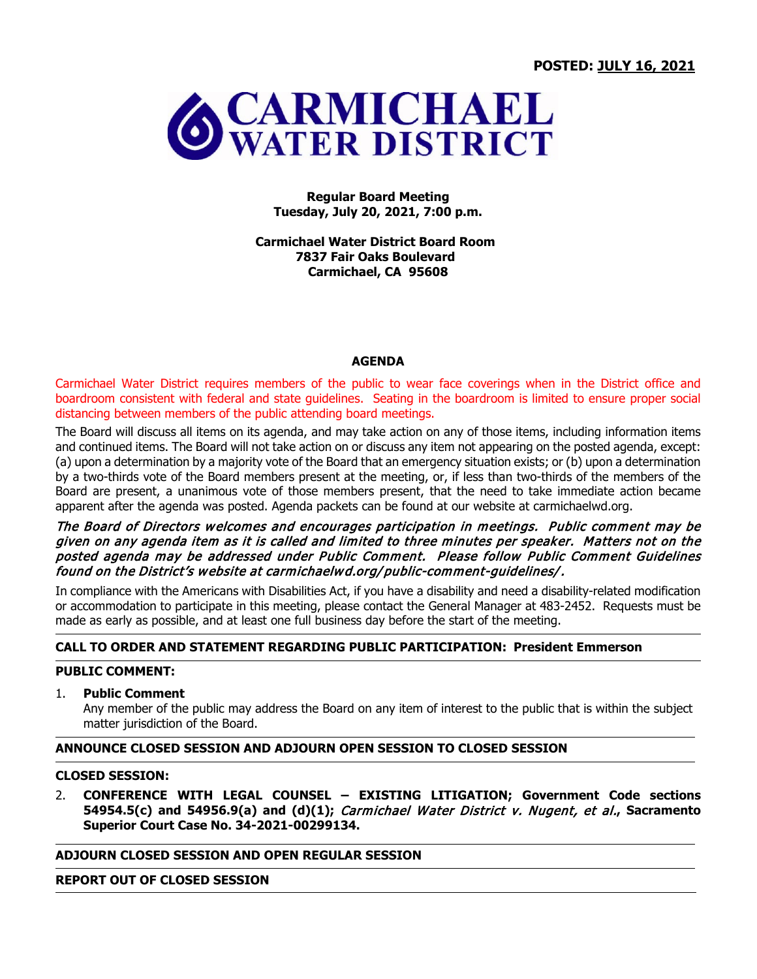

#### **Regular Board Meeting Tuesday, July 20, 2021, 7:00 p.m.**

**Carmichael Water District Board Room 7837 Fair Oaks Boulevard Carmichael, CA 95608**

#### **AGENDA**

Carmichael Water District requires members of the public to wear face coverings when in the District office and boardroom consistent with federal and state guidelines. Seating in the boardroom is limited to ensure proper social distancing between members of the public attending board meetings.

The Board will discuss all items on its agenda, and may take action on any of those items, including information items and continued items. The Board will not take action on or discuss any item not appearing on the posted agenda, except: (a) upon a determination by a majority vote of the Board that an emergency situation exists; or (b) upon a determination by a two-thirds vote of the Board members present at the meeting, or, if less than two-thirds of the members of the Board are present, a unanimous vote of those members present, that the need to take immediate action became apparent after the agenda was posted. Agenda packets can be found at our website at carmichaelwd.org.

### The Board of Directors welcomes and encourages participation in meetings. Public comment may be given on any agenda item as it is called and limited to three minutes per speaker. Matters not on the posted agenda may be addressed under Public Comment. Please follow Public Comment Guidelines found on the District's website at carmichaelwd.org/ public-comment-guidelines/.

In compliance with the Americans with Disabilities Act, if you have a disability and need a disability-related modification or accommodation to participate in this meeting, please contact the General Manager at 483-2452. Requests must be made as early as possible, and at least one full business day before the start of the meeting.

# **CALL TO ORDER AND STATEMENT REGARDING PUBLIC PARTICIPATION: President Emmerson**

### **PUBLIC COMMENT:**

## 1. **Public Comment**

Any member of the public may address the Board on any item of interest to the public that is within the subject matter jurisdiction of the Board.

### **ANNOUNCE CLOSED SESSION AND ADJOURN OPEN SESSION TO CLOSED SESSION**

## **CLOSED SESSION:**

2. **CONFERENCE WITH LEGAL COUNSEL – EXISTING LITIGATION; Government Code sections 54954.5(c) and 54956.9(a) and (d)(1);** Carmichael Water District v. Nugent, et al.**, Sacramento Superior Court Case No. 34-2021-00299134.**

### **ADJOURN CLOSED SESSION AND OPEN REGULAR SESSION**

#### **REPORT OUT OF CLOSED SESSION**